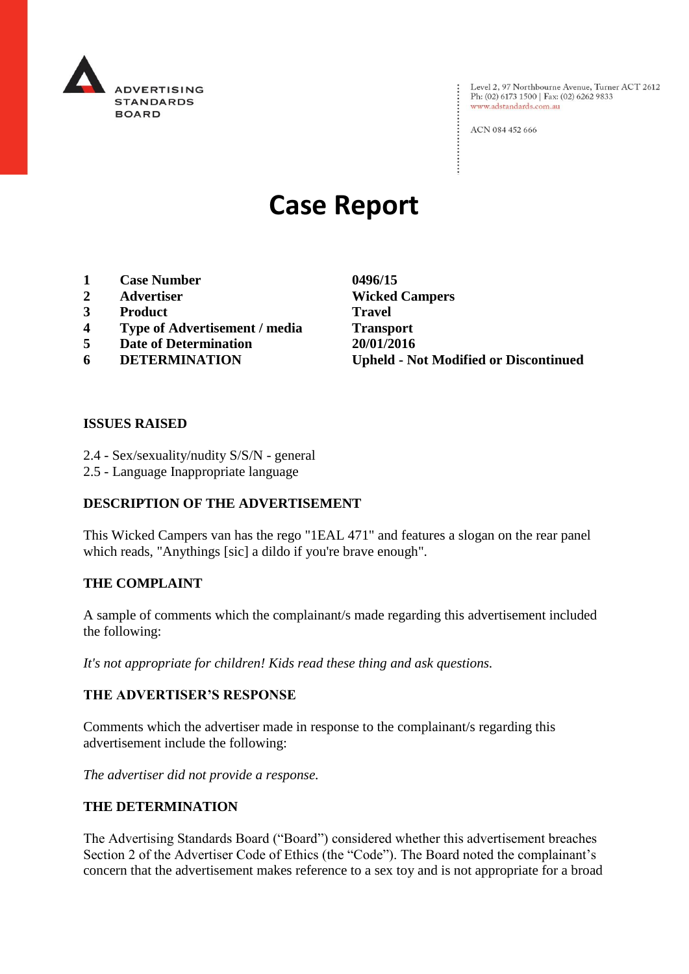

Level 2, 97 Northbourne Avenue, Turner ACT 2612 Ph: (02) 6173 1500 | Fax: (02) 6262 9833 www.adstandards.com.au

ACN 084 452 666

# **Case Report**

- **1 Case Number 0496/15**
- 
- **3 Product Travel**
- **4 Type of Advertisement / media Transport**
- **5 Date of Determination 20/01/2016**
- 

**2 Advertiser Wicked Campers 6 DETERMINATION Upheld - Not Modified or Discontinued**

 $\vdots$ 

### **ISSUES RAISED**

- 2.4 Sex/sexuality/nudity S/S/N general
- 2.5 Language Inappropriate language

# **DESCRIPTION OF THE ADVERTISEMENT**

This Wicked Campers van has the rego "1EAL 471" and features a slogan on the rear panel which reads, "Anythings [sic] a dildo if you're brave enough".

#### **THE COMPLAINT**

A sample of comments which the complainant/s made regarding this advertisement included the following:

*It's not appropriate for children! Kids read these thing and ask questions.* 

# **THE ADVERTISER'S RESPONSE**

Comments which the advertiser made in response to the complainant/s regarding this advertisement include the following:

*The advertiser did not provide a response.*

# **THE DETERMINATION**

The Advertising Standards Board ("Board") considered whether this advertisement breaches Section 2 of the Advertiser Code of Ethics (the "Code"). The Board noted the complainant's concern that the advertisement makes reference to a sex toy and is not appropriate for a broad